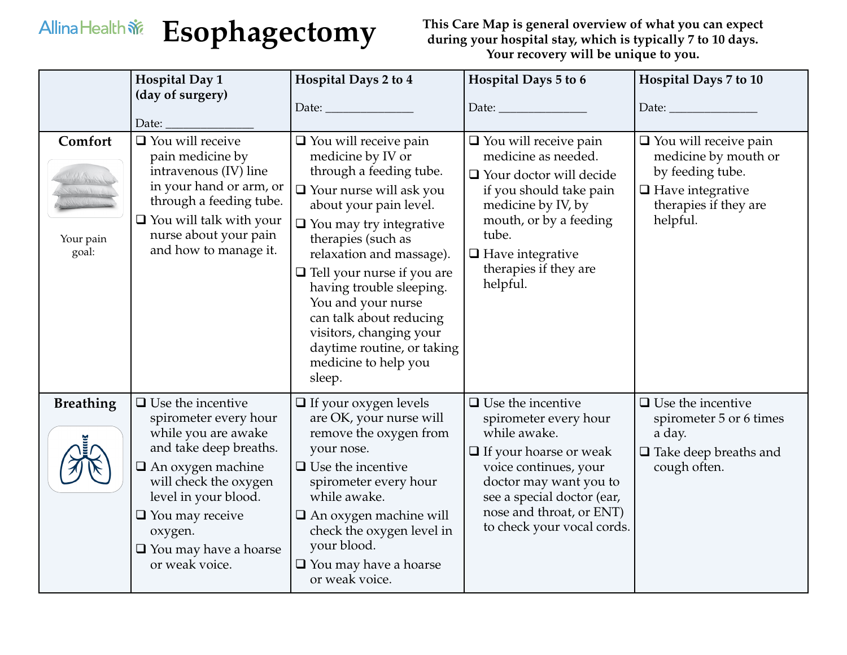## Allina Health  $\tilde{\mathbf{w}}$

**Esophagectomy This Care Map is general overview of what you can expect during your hospital stay, which is typically 7 to 10 days. Your recovery will be unique to you.**

|                               | <b>Hospital Day 1</b><br>(day of surgery)<br>Date:                                                                                                                                                                                                                     | Hospital Days 2 to 4                                                                                                                                                                                                                                                                                                                                                                                                                      | Hospital Days 5 to 6<br>Date: $\_\_$                                                                                                                                                                                                          | Hospital Days 7 to 10<br>Date: and the state of the state of the state of the state of the state of the state of the state of the state of the state of the state of the state of the state of the state of the state of the state of the state of the |
|-------------------------------|------------------------------------------------------------------------------------------------------------------------------------------------------------------------------------------------------------------------------------------------------------------------|-------------------------------------------------------------------------------------------------------------------------------------------------------------------------------------------------------------------------------------------------------------------------------------------------------------------------------------------------------------------------------------------------------------------------------------------|-----------------------------------------------------------------------------------------------------------------------------------------------------------------------------------------------------------------------------------------------|--------------------------------------------------------------------------------------------------------------------------------------------------------------------------------------------------------------------------------------------------------|
| Comfort<br>Your pain<br>goal: | $\Box$ You will receive<br>pain medicine by<br>intravenous (IV) line<br>in your hand or arm, or<br>through a feeding tube.<br>$\Box$ You will talk with your<br>nurse about your pain<br>and how to manage it.                                                         | $\Box$ You will receive pain<br>medicine by IV or<br>through a feeding tube.<br>$\Box$ Your nurse will ask you<br>about your pain level.<br>$\Box$ You may try integrative<br>therapies (such as<br>relaxation and massage).<br>$\Box$ Tell your nurse if you are<br>having trouble sleeping.<br>You and your nurse<br>can talk about reducing<br>visitors, changing your<br>daytime routine, or taking<br>medicine to help you<br>sleep. | $\Box$ You will receive pain<br>medicine as needed.<br>$\Box$ Your doctor will decide<br>if you should take pain<br>medicine by IV, by<br>mouth, or by a feeding<br>tube.<br>$\Box$ Have integrative<br>therapies if they are<br>helpful.     | $\Box$ You will receive pain<br>medicine by mouth or<br>by feeding tube.<br>$\Box$ Have integrative<br>therapies if they are<br>helpful.                                                                                                               |
| <b>Breathing</b>              | $\Box$ Use the incentive<br>spirometer every hour<br>while you are awake<br>and take deep breaths.<br>$\Box$ An oxygen machine<br>will check the oxygen<br>level in your blood.<br>$\Box$ You may receive<br>oxygen.<br>$\Box$ You may have a hoarse<br>or weak voice. | $\Box$ If your oxygen levels<br>are OK, your nurse will<br>remove the oxygen from<br>your nose.<br>$\Box$ Use the incentive<br>spirometer every hour<br>while awake.<br>An oxygen machine will<br>check the oxygen level in<br>your blood.<br>$\Box$ You may have a hoarse<br>or weak voice.                                                                                                                                              | $\Box$ Use the incentive<br>spirometer every hour<br>while awake.<br>$\Box$ If your hoarse or weak<br>voice continues, your<br>doctor may want you to<br>see a special doctor (ear,<br>nose and throat, or ENT)<br>to check your vocal cords. | $\Box$ Use the incentive<br>spirometer 5 or 6 times<br>a day.<br>$\Box$ Take deep breaths and<br>cough often.                                                                                                                                          |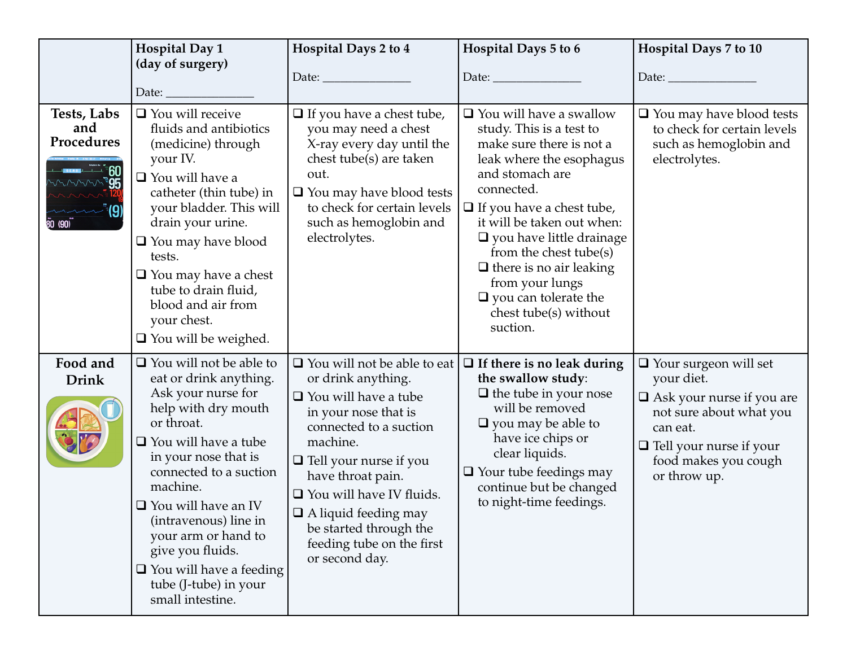|                                                                  | <b>Hospital Day 1</b><br>(day of surgery)                                                                                                                                                                                                                                                                                                                                                    | Hospital Days 2 to 4                                                                                                                                                                                                                                                                                                                                                | Hospital Days 5 to 6<br>Date: $\_\_\_\_\_\_\_\_\_\_\_\_\_\_\_$                                                                                                                                                                                                                                                                                                                                              | Hospital Days 7 to 10<br>Date: $\_\_$                                                                                                                                                           |
|------------------------------------------------------------------|----------------------------------------------------------------------------------------------------------------------------------------------------------------------------------------------------------------------------------------------------------------------------------------------------------------------------------------------------------------------------------------------|---------------------------------------------------------------------------------------------------------------------------------------------------------------------------------------------------------------------------------------------------------------------------------------------------------------------------------------------------------------------|-------------------------------------------------------------------------------------------------------------------------------------------------------------------------------------------------------------------------------------------------------------------------------------------------------------------------------------------------------------------------------------------------------------|-------------------------------------------------------------------------------------------------------------------------------------------------------------------------------------------------|
| Tests, Labs<br>and<br>Procedures<br><b>95</b><br>$\bar{80}$ (90) | Date: $\_$<br>$\Box$ You will receive<br>fluids and antibiotics<br>(medicine) through<br>your IV.<br>$\Box$ You will have a<br>catheter (thin tube) in<br>your bladder. This will<br>drain your urine.<br>$\Box$ You may have blood<br>tests.<br>$\Box$ You may have a chest<br>tube to drain fluid,<br>blood and air from<br>your chest.<br>$\Box$ You will be weighed.                     | $\Box$ If you have a chest tube,<br>you may need a chest<br>X-ray every day until the<br>chest tube(s) are taken<br>out.<br>$\Box$ You may have blood tests<br>to check for certain levels<br>such as hemoglobin and<br>electrolytes.                                                                                                                               | $\Box$ You will have a swallow<br>study. This is a test to<br>make sure there is not a<br>leak where the esophagus<br>and stomach are<br>connected.<br>$\Box$ If you have a chest tube,<br>it will be taken out when:<br>$\Box$ you have little drainage<br>from the chest tube(s)<br>$\Box$ there is no air leaking<br>from your lungs<br>$\Box$ you can tolerate the<br>chest tube(s) without<br>suction. | $\Box$ You may have blood tests<br>to check for certain levels<br>such as hemoglobin and<br>electrolytes.                                                                                       |
| Food and<br><b>Drink</b>                                         | $\Box$ You will not be able to<br>eat or drink anything.<br>Ask your nurse for<br>help with dry mouth<br>or throat.<br>□ You will have a tube<br>in your nose that is<br>connected to a suction<br>machine.<br>$\Box$ You will have an IV<br>(intravenous) line in<br>your arm or hand to<br>give you fluids.<br>$\Box$ You will have a feeding<br>tube (J-tube) in your<br>small intestine. | $\Box$ You will not be able to eat<br>or drink anything.<br>$\Box$ You will have a tube<br>in your nose that is<br>connected to a suction<br>machine.<br>$\Box$ Tell your nurse if you<br>have throat pain.<br>$\Box$ You will have IV fluids.<br>$\hfill\Box$<br><br>A liquid feeding may<br>be started through the<br>feeding tube on the first<br>or second day. | $\Box$ If there is no leak during<br>the swallow study:<br>$\Box$ the tube in your nose<br>will be removed<br>$\Box$ you may be able to<br>have ice chips or<br>clear liquids.<br>$\Box$ Your tube feedings may<br>continue but be changed<br>to night-time feedings.                                                                                                                                       | $\Box$ Your surgeon will set<br>your diet.<br>$\Box$ Ask your nurse if you are<br>not sure about what you<br>can eat.<br>$\Box$ Tell your nurse if your<br>food makes you cough<br>or throw up. |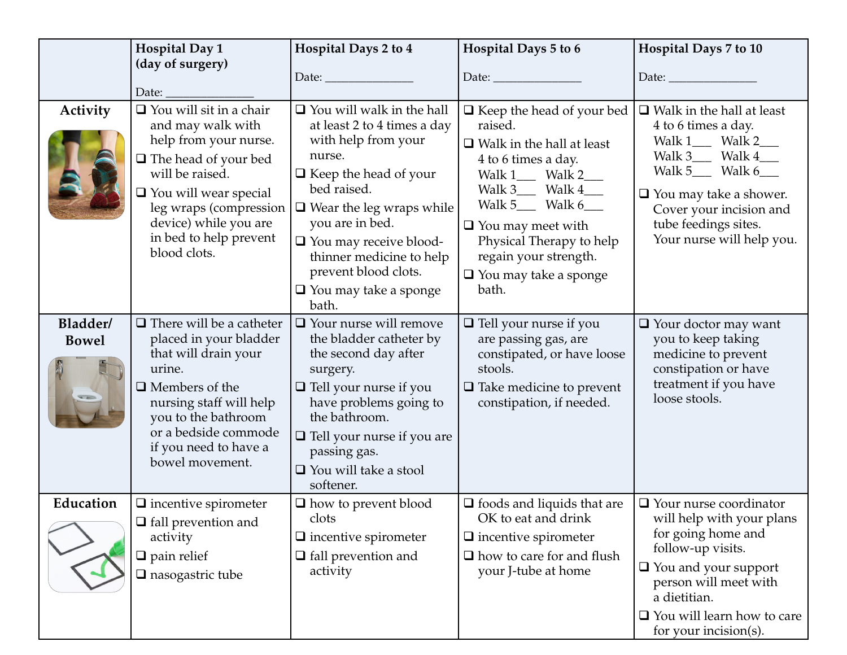|                          | <b>Hospital Day 1</b><br>(day of surgery)<br>Date:                                                                                                                                                                                                                           | Hospital Days 2 to 4                                                                                                                                                                                                                                                                                                                | Hospital Days 5 to 6<br>Date: $\_\_$                                                                                                                                                                                                                                                                   | Hospital Days 7 to 10<br>Date: $\_\_$                                                                                                                                                                                                           |
|--------------------------|------------------------------------------------------------------------------------------------------------------------------------------------------------------------------------------------------------------------------------------------------------------------------|-------------------------------------------------------------------------------------------------------------------------------------------------------------------------------------------------------------------------------------------------------------------------------------------------------------------------------------|--------------------------------------------------------------------------------------------------------------------------------------------------------------------------------------------------------------------------------------------------------------------------------------------------------|-------------------------------------------------------------------------------------------------------------------------------------------------------------------------------------------------------------------------------------------------|
| <b>Activity</b>          | $\Box$ You will sit in a chair<br>and may walk with<br>help from your nurse.<br>$\Box$ The head of your bed<br>will be raised.<br>$\hfill\blacksquare$<br>You will wear special<br>leg wraps (compression<br>device) while you are<br>in bed to help prevent<br>blood clots. | $\Box$ You will walk in the hall<br>at least 2 to 4 times a day<br>with help from your<br>nurse.<br>$\Box$ Keep the head of your<br>bed raised.<br>$\Box$ Wear the leg wraps while<br>you are in bed.<br>$\Box$ You may receive blood-<br>thinner medicine to help<br>prevent blood clots.<br>$\Box$ You may take a sponge<br>bath. | $\Box$ Keep the head of your bed<br>raised.<br>$\Box$ Walk in the hall at least<br>4 to 6 times a day.<br>Walk 1___ Walk 2___<br>Walk $3$ Walk $4$<br>Walk 5___ Walk $6$ ___<br>$\Box$ You may meet with<br>Physical Therapy to help<br>regain your strength.<br>$\Box$ You may take a sponge<br>bath. | $\Box$ Walk in the hall at least<br>4 to 6 times a day.<br>Walk 1___ Walk 2___<br>Walk 3___ Walk 4___<br>Walk $5$ Walk $6$ ___<br>$\Box$ You may take a shower.<br>Cover your incision and<br>tube feedings sites.<br>Your nurse will help you. |
| Bladder/<br><b>Bowel</b> | $\Box$ There will be a catheter<br>placed in your bladder<br>that will drain your<br>urine.<br>$\Box$ Members of the<br>nursing staff will help<br>you to the bathroom<br>or a bedside commode<br>if you need to have a<br>bowel movement.                                   | $\Box$ Your nurse will remove<br>the bladder catheter by<br>the second day after<br>surgery.<br>$\Box$ Tell your nurse if you<br>have problems going to<br>the bathroom.<br>$\Box$ Tell your nurse if you are<br>passing gas.<br>□ You will take a stool<br>softener.                                                               | $\Box$ Tell your nurse if you<br>are passing gas, are<br>constipated, or have loose<br>stools.<br>$\Box$ Take medicine to prevent<br>constipation, if needed.                                                                                                                                          | $\Box$ Your doctor may want<br>you to keep taking<br>medicine to prevent<br>constipation or have<br>treatment if you have<br>loose stools.                                                                                                      |
| Education                | $\Box$ incentive spirometer<br>$\Box$ fall prevention and<br>activity<br>$\Box$ pain relief<br>$\square$ nasogastric tube                                                                                                                                                    | $\Box$ how to prevent blood<br>clots<br>$\Box$ incentive spirometer<br>$\Box$ fall prevention and<br>activity                                                                                                                                                                                                                       | $\Box$ foods and liquids that are<br>OK to eat and drink<br>$\Box$ incentive spirometer<br>$\Box$ how to care for and flush<br>your J-tube at home                                                                                                                                                     | $\Box$ Your nurse coordinator<br>will help with your plans<br>for going home and<br>follow-up visits.<br>$\Box$ You and your support<br>person will meet with<br>a dietitian.<br>$\Box$ You will learn how to care<br>for your incision(s).     |